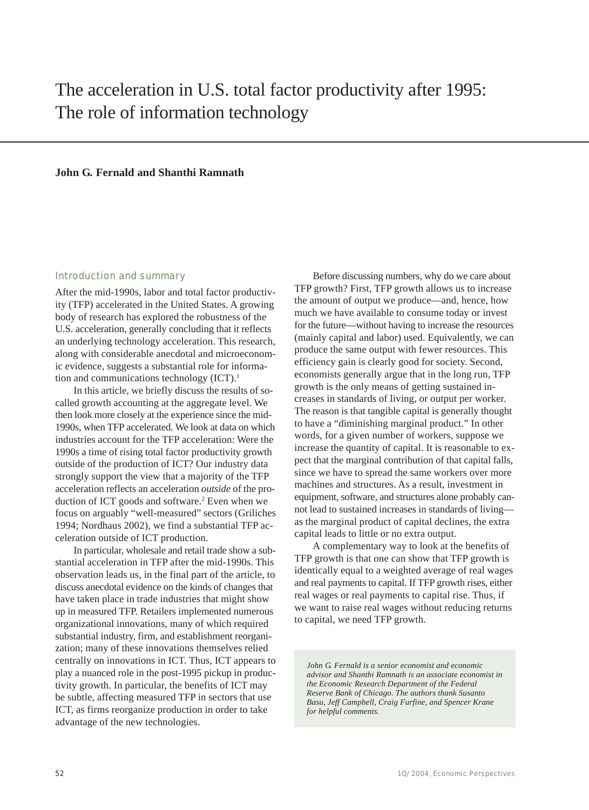# The acceleration in U.S. total factor productivity after 1995: The role of information technology

## **John G. Fernald and Shanthi Ramnath**

# Introduction and summary

After the mid-1990s, labor and total factor productivity (TFP) accelerated in the United States. A growing body of research has explored the robustness of the U.S. acceleration, generally concluding that it reflects an underlying technology acceleration. This research, along with considerable anecdotal and microeconomic evidence, suggests a substantial role for information and communications technology (ICT).<sup>1</sup>

In this article, we briefly discuss the results of socalled growth accounting at the aggregate level. We then look more closely at the experience since the mid-1990s, when TFP accelerated. We look at data on which industries account for the TFP acceleration: Were the 1990s a time of rising total factor productivity growth outside of the production of ICT? Our industry data strongly support the view that a majority of the TFP acceleration reflects an acceleration *outside* of the production of ICT goods and software.<sup>2</sup> Even when we focus on arguably "well-measured" sectors (Griliches 1994; Nordhaus 2002), we find a substantial TFP acceleration outside of ICT production.

In particular, wholesale and retail trade show a substantial acceleration in TFP after the mid-1990s. This observation leads us, in the final part of the article, to discuss anecdotal evidence on the kinds of changes that have taken place in trade industries that might show up in measured TFP. Retailers implemented numerous organizational innovations, many of which required substantial industry, firm, and establishment reorganization; many of these innovations themselves relied centrally on innovations in ICT. Thus, ICT appears to play a nuanced role in the post-1995 pickup in productivity growth. In particular, the benefits of ICT may be subtle, affecting measured TFP in sectors that use ICT, as firms reorganize production in order to take advantage of the new technologies.

Before discussing numbers, why do we care about TFP growth? First, TFP growth allows us to increase the amount of output we produce—and, hence, how much we have available to consume today or invest for the future—without having to increase the resources (mainly capital and labor) used. Equivalently, we can produce the same output with fewer resources. This efficiency gain is clearly good for society. Second, economists generally argue that in the long run, TFP growth is the only means of getting sustained increases in standards of living, or output per worker. The reason is that tangible capital is generally thought to have a "diminishing marginal product." In other words, for a given number of workers, suppose we increase the quantity of capital. It is reasonable to expect that the marginal contribution of that capital falls, since we have to spread the same workers over more machines and structures. As a result, investment in equipment, software, and structures alone probably cannot lead to sustained increases in standards of living as the marginal product of capital declines, the extra capital leads to little or no extra output.

A complementary way to look at the benefits of TFP growth is that one can show that TFP growth is identically equal to a weighted average of real wages and real payments to capital. If TFP growth rises, either real wages or real payments to capital rise. Thus, if we want to raise real wages without reducing returns to capital, we need TFP growth.

*John G. Fernald is a senior economist and economic advisor and Shanthi Ramnath is an associate economist in the Economic Research Department of the Federal Reserve Bank of Chicago. The authors thank Susanto Basu, Jeff Campbell, Craig Furfine, and Spencer Krane for helpful comments.*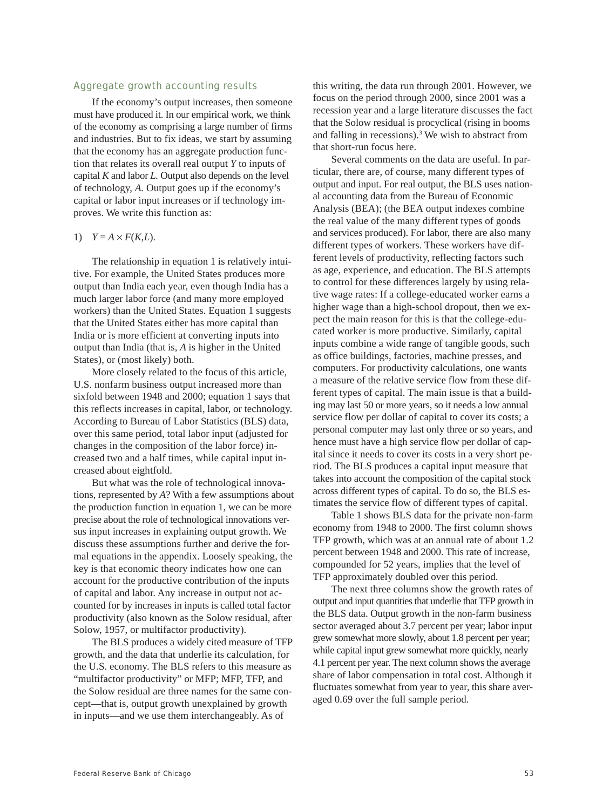#### Aggregate growth accounting results

If the economy's output increases, then someone must have produced it. In our empirical work, we think of the economy as comprising a large number of firms and industries. But to fix ideas, we start by assuming that the economy has an aggregate production function that relates its overall real output *Y* to inputs of capital *K* and labor *L.* Output also depends on the level of technology, *A.* Output goes up if the economy's capital or labor input increases or if technology improves. We write this function as:

#### 1)  $Y = A \times F(K,L)$ .

The relationship in equation 1 is relatively intuitive. For example, the United States produces more output than India each year, even though India has a much larger labor force (and many more employed workers) than the United States. Equation 1 suggests that the United States either has more capital than India or is more efficient at converting inputs into output than India (that is, *A* is higher in the United States), or (most likely) both.

More closely related to the focus of this article, U.S. nonfarm business output increased more than sixfold between 1948 and 2000; equation 1 says that this reflects increases in capital, labor, or technology. According to Bureau of Labor Statistics (BLS) data, over this same period, total labor input (adjusted for changes in the composition of the labor force) increased two and a half times, while capital input increased about eightfold.

But what was the role of technological innovations, represented by *A*? With a few assumptions about the production function in equation 1, we can be more precise about the role of technological innovations versus input increases in explaining output growth. We discuss these assumptions further and derive the formal equations in the appendix. Loosely speaking, the key is that economic theory indicates how one can account for the productive contribution of the inputs of capital and labor. Any increase in output not accounted for by increases in inputs is called total factor productivity (also known as the Solow residual, after Solow, 1957, or multifactor productivity).

The BLS produces a widely cited measure of TFP growth, and the data that underlie its calculation, for the U.S. economy. The BLS refers to this measure as "multifactor productivity" or MFP; MFP, TFP, and the Solow residual are three names for the same concept—that is, output growth unexplained by growth in inputs—and we use them interchangeably. As of

this writing, the data run through 2001. However, we focus on the period through 2000, since 2001 was a recession year and a large literature discusses the fact that the Solow residual is procyclical (rising in booms and falling in recessions).<sup>3</sup> We wish to abstract from that short-run focus here.

Several comments on the data are useful. In particular, there are, of course, many different types of output and input. For real output, the BLS uses national accounting data from the Bureau of Economic Analysis (BEA); (the BEA output indexes combine the real value of the many different types of goods and services produced). For labor, there are also many different types of workers. These workers have different levels of productivity, reflecting factors such as age, experience, and education. The BLS attempts to control for these differences largely by using relative wage rates: If a college-educated worker earns a higher wage than a high-school dropout, then we expect the main reason for this is that the college-educated worker is more productive. Similarly, capital inputs combine a wide range of tangible goods, such as office buildings, factories, machine presses, and computers. For productivity calculations, one wants a measure of the relative service flow from these different types of capital. The main issue is that a building may last 50 or more years, so it needs a low annual service flow per dollar of capital to cover its costs; a personal computer may last only three or so years, and hence must have a high service flow per dollar of capital since it needs to cover its costs in a very short period. The BLS produces a capital input measure that takes into account the composition of the capital stock across different types of capital. To do so, the BLS estimates the service flow of different types of capital.

Table 1 shows BLS data for the private non-farm economy from 1948 to 2000. The first column shows TFP growth, which was at an annual rate of about 1.2 percent between 1948 and 2000. This rate of increase, compounded for 52 years, implies that the level of TFP approximately doubled over this period.

The next three columns show the growth rates of output and input quantities that underlie that TFP growth in the BLS data. Output growth in the non-farm business sector averaged about 3.7 percent per year; labor input grew somewhat more slowly, about 1.8 percent per year; while capital input grew somewhat more quickly, nearly 4.1 percent per year. The next column shows the average share of labor compensation in total cost. Although it fluctuates somewhat from year to year, this share averaged 0.69 over the full sample period.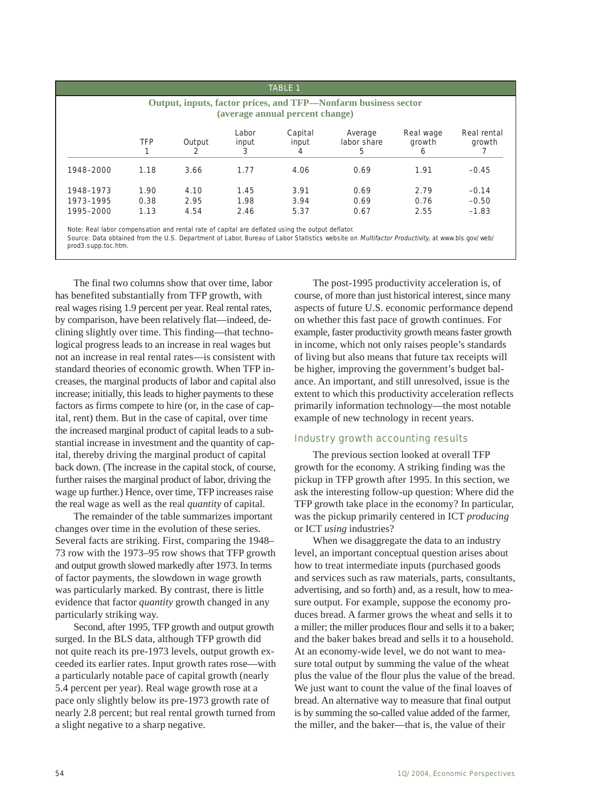| <b>TABLE 1</b>                                                                                    |                      |                      |                      |                       |                             |                          |                               |  |  |  |
|---------------------------------------------------------------------------------------------------|----------------------|----------------------|----------------------|-----------------------|-----------------------------|--------------------------|-------------------------------|--|--|--|
| Output, inputs, factor prices, and TFP—Nonfarm business sector<br>(average annual percent change) |                      |                      |                      |                       |                             |                          |                               |  |  |  |
|                                                                                                   | TFP                  | Output<br>2          | Labor<br>input<br>3  | Capital<br>input<br>4 | Average<br>labor share<br>5 | Real wage<br>growth<br>6 | Real rental<br>growth         |  |  |  |
| 1948-2000                                                                                         | 1.18                 | 3.66                 | 1.77                 | 4.06                  | 0.69                        | 1.91                     | $-0.45$                       |  |  |  |
| 1948-1973<br>1973-1995<br>1995-2000                                                               | 1.90<br>0.38<br>1.13 | 4.10<br>2.95<br>4.54 | 1.45<br>1.98<br>2.46 | 3.91<br>3.94<br>5.37  | 0.69<br>0.69<br>0.67        | 2.79<br>0.76<br>2.55     | $-0.14$<br>$-0.50$<br>$-1.83$ |  |  |  |

Note: Real labor compensation and rental rate of capital are deflated using the output deflator. Source: Data obtained from the U.S. Department of Labor, Bureau of Labor Statistics website on Multifactor Productivity, at www.bls.gov/web/ prod3.supp.toc.htm.

The final two columns show that over time, labor has benefited substantially from TFP growth, with real wages rising 1.9 percent per year. Real rental rates, by comparison, have been relatively flat—indeed, declining slightly over time. This finding—that technological progress leads to an increase in real wages but not an increase in real rental rates—is consistent with standard theories of economic growth. When TFP increases, the marginal products of labor and capital also increase; initially, this leads to higher payments to these factors as firms compete to hire (or, in the case of capital, rent) them. But in the case of capital, over time the increased marginal product of capital leads to a substantial increase in investment and the quantity of capital, thereby driving the marginal product of capital back down. (The increase in the capital stock, of course, further raises the marginal product of labor, driving the wage up further.) Hence, over time, TFP increases raise the real wage as well as the real *quantity* of capital.

The remainder of the table summarizes important changes over time in the evolution of these series. Several facts are striking. First, comparing the 1948– 73 row with the 1973–95 row shows that TFP growth and output growth slowed markedly after 1973. In terms of factor payments, the slowdown in wage growth was particularly marked. By contrast, there is little evidence that factor *quantity* growth changed in any particularly striking way.

Second, after 1995, TFP growth and output growth surged. In the BLS data, although TFP growth did not quite reach its pre-1973 levels, output growth exceeded its earlier rates. Input growth rates rose—with a particularly notable pace of capital growth (nearly 5.4 percent per year). Real wage growth rose at a pace only slightly below its pre-1973 growth rate of nearly 2.8 percent; but real rental growth turned from a slight negative to a sharp negative.

The post-1995 productivity acceleration is, of course, of more than just historical interest, since many aspects of future U.S. economic performance depend on whether this fast pace of growth continues. For example, faster productivity growth means faster growth in income, which not only raises people's standards of living but also means that future tax receipts will be higher, improving the government's budget balance. An important, and still unresolved, issue is the extent to which this productivity acceleration reflects primarily information technology—the most notable example of new technology in recent years.

# Industry growth accounting results

The previous section looked at overall TFP growth for the economy. A striking finding was the pickup in TFP growth after 1995. In this section, we ask the interesting follow-up question: Where did the TFP growth take place in the economy? In particular, was the pickup primarily centered in ICT *producing* or ICT *using* industries?

When we disaggregate the data to an industry level, an important conceptual question arises about how to treat intermediate inputs (purchased goods and services such as raw materials, parts, consultants, advertising, and so forth) and, as a result, how to measure output. For example, suppose the economy produces bread. A farmer grows the wheat and sells it to a miller; the miller produces flour and sells it to a baker; and the baker bakes bread and sells it to a household. At an economy-wide level, we do not want to measure total output by summing the value of the wheat plus the value of the flour plus the value of the bread. We just want to count the value of the final loaves of bread. An alternative way to measure that final output is by summing the so-called value added of the farmer, the miller, and the baker—that is, the value of their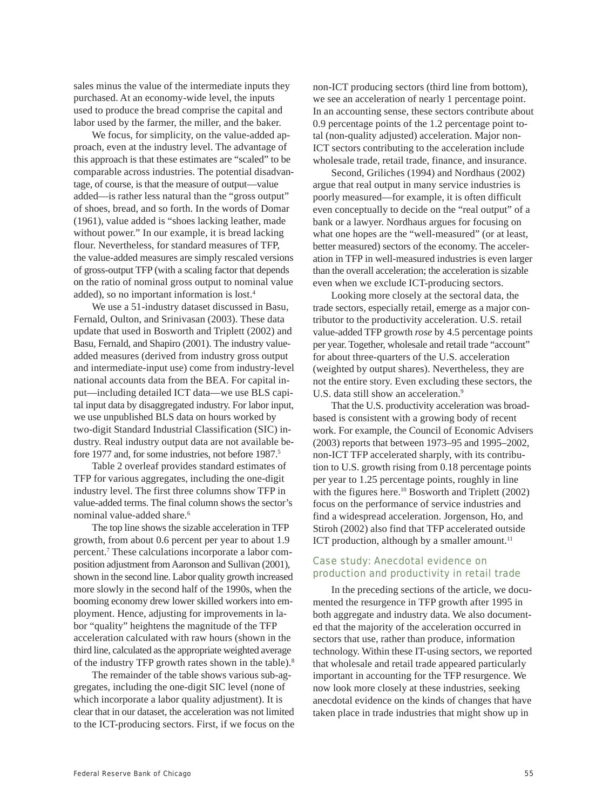sales minus the value of the intermediate inputs they purchased. At an economy-wide level, the inputs used to produce the bread comprise the capital and labor used by the farmer, the miller, and the baker.

We focus, for simplicity, on the value-added approach, even at the industry level. The advantage of this approach is that these estimates are "scaled" to be comparable across industries. The potential disadvantage, of course, is that the measure of output—value added—is rather less natural than the "gross output" of shoes, bread, and so forth. In the words of Domar (1961), value added is "shoes lacking leather, made without power." In our example, it is bread lacking flour. Nevertheless, for standard measures of TFP, the value-added measures are simply rescaled versions of gross-output TFP (with a scaling factor that depends on the ratio of nominal gross output to nominal value added), so no important information is lost.4

We use a 51-industry dataset discussed in Basu, Fernald, Oulton, and Srinivasan (2003). These data update that used in Bosworth and Triplett (2002) and Basu, Fernald, and Shapiro (2001). The industry valueadded measures (derived from industry gross output and intermediate-input use) come from industry-level national accounts data from the BEA. For capital input—including detailed ICT data—we use BLS capital input data by disaggregated industry. For labor input, we use unpublished BLS data on hours worked by two-digit Standard Industrial Classification (SIC) industry. Real industry output data are not available before 1977 and, for some industries, not before 1987.<sup>5</sup>

Table 2 overleaf provides standard estimates of TFP for various aggregates, including the one-digit industry level. The first three columns show TFP in value-added terms. The final column shows the sector's nominal value-added share.<sup>6</sup>

The top line shows the sizable acceleration in TFP growth, from about 0.6 percent per year to about 1.9 percent.<sup>7</sup> These calculations incorporate a labor composition adjustment from Aaronson and Sullivan (2001), shown in the second line. Labor quality growth increased more slowly in the second half of the 1990s, when the booming economy drew lower skilled workers into employment. Hence, adjusting for improvements in labor "quality" heightens the magnitude of the TFP acceleration calculated with raw hours (shown in the third line, calculated as the appropriate weighted average of the industry TFP growth rates shown in the table).8

The remainder of the table shows various sub-aggregates, including the one-digit SIC level (none of which incorporate a labor quality adjustment). It is clear that in our dataset, the acceleration was not limited to the ICT-producing sectors. First, if we focus on the non-ICT producing sectors (third line from bottom), we see an acceleration of nearly 1 percentage point. In an accounting sense, these sectors contribute about 0.9 percentage points of the 1.2 percentage point total (non-quality adjusted) acceleration. Major non-ICT sectors contributing to the acceleration include wholesale trade, retail trade, finance, and insurance.

Second, Griliches (1994) and Nordhaus (2002) argue that real output in many service industries is poorly measured—for example, it is often difficult even conceptually to decide on the "real output" of a bank or a lawyer. Nordhaus argues for focusing on what one hopes are the "well-measured" (or at least, better measured) sectors of the economy. The acceleration in TFP in well-measured industries is even larger than the overall acceleration; the acceleration is sizable even when we exclude ICT-producing sectors.

Looking more closely at the sectoral data, the trade sectors, especially retail, emerge as a major contributor to the productivity acceleration. U.S. retail value-added TFP growth *rose* by 4.5 percentage points per year. Together, wholesale and retail trade "account" for about three-quarters of the U.S. acceleration (weighted by output shares). Nevertheless, they are not the entire story. Even excluding these sectors, the U.S. data still show an acceleration.<sup>9</sup>

That the U.S. productivity acceleration was broadbased is consistent with a growing body of recent work. For example, the Council of Economic Advisers (2003) reports that between 1973–95 and 1995–2002, non-ICT TFP accelerated sharply, with its contribution to U.S. growth rising from 0.18 percentage points per year to 1.25 percentage points, roughly in line with the figures here.<sup>10</sup> Bosworth and Triplett (2002) focus on the performance of service industries and find a widespread acceleration. Jorgenson, Ho, and Stiroh (2002) also find that TFP accelerated outside ICT production, although by a smaller amount. $11$ 

# Case study: Anecdotal evidence on production and productivity in retail trade

In the preceding sections of the article, we documented the resurgence in TFP growth after 1995 in both aggregate and industry data. We also documented that the majority of the acceleration occurred in sectors that use, rather than produce, information technology. Within these IT-using sectors, we reported that wholesale and retail trade appeared particularly important in accounting for the TFP resurgence. We now look more closely at these industries, seeking anecdotal evidence on the kinds of changes that have taken place in trade industries that might show up in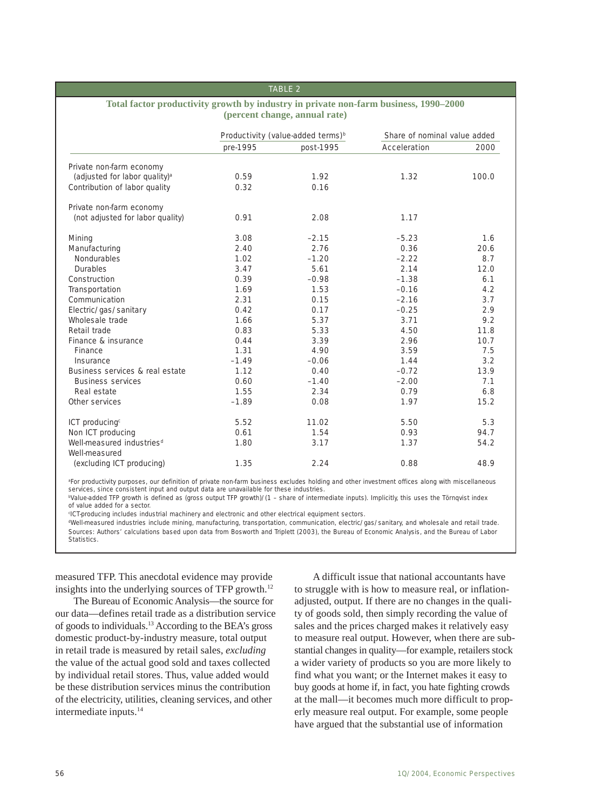#### TABLE 2

#### **Total factor productivity growth by industry in private non-farm business, 1990–2000 (percent change, annual rate)**

|                                                        | Productivity (value-added terms) <sup>b</sup> |           | Share of nominal value added |       |
|--------------------------------------------------------|-----------------------------------------------|-----------|------------------------------|-------|
|                                                        | pre-1995                                      | post-1995 | Acceleration                 | 2000  |
| Private non-farm economy                               |                                               |           |                              |       |
| (adjusted for labor quality) <sup>a</sup>              | 0.59                                          | 1.92      | 1.32                         | 100.0 |
| Contribution of labor quality                          | 0.32                                          | 0.16      |                              |       |
| Private non-farm economy                               |                                               |           |                              |       |
| (not adjusted for labor quality)                       | 0.91                                          | 2.08      | 1.17                         |       |
| Mining                                                 | 3.08                                          | $-2.15$   | $-5.23$                      | 1.6   |
| Manufacturing                                          | 2.40                                          | 2.76      | 0.36                         | 20.6  |
| Nondurables                                            | 1.02                                          | $-1.20$   | $-2.22$                      | 8.7   |
| Durables                                               | 3.47                                          | 5.61      | 2.14                         | 12.0  |
| Construction                                           | 0.39                                          | $-0.98$   | $-1.38$                      | 6.1   |
| Transportation                                         | 1.69                                          | 1.53      | $-0.16$                      | 4.2   |
| Communication                                          | 2.31                                          | 0.15      | $-2.16$                      | 3.7   |
| Electric/gas/sanitary                                  | 0.42                                          | 0.17      | $-0.25$                      | 2.9   |
| Wholesale trade                                        | 1.66                                          | 5.37      | 3.71                         | 9.2   |
| Retail trade                                           | 0.83                                          | 5.33      | 4.50                         | 11.8  |
| Finance & insurance                                    | 0.44                                          | 3.39      | 2.96                         | 10.7  |
| Finance                                                | 1.31                                          | 4.90      | 3.59                         | 7.5   |
| Insurance                                              | $-1.49$                                       | $-0.06$   | 1.44                         | 3.2   |
| Business services & real estate                        | 1.12                                          | 0.40      | $-0.72$                      | 13.9  |
| <b>Business services</b>                               | 0.60                                          | $-1.40$   | $-2.00$                      | 7.1   |
| Real estate                                            | 1.55                                          | 2.34      | 0.79                         | 6.8   |
| Other services                                         | $-1.89$                                       | 0.08      | 1.97                         | 15.2  |
| ICT producing <sup>c</sup>                             | 5.52                                          | 11.02     | 5.50                         | 5.3   |
| Non ICT producing                                      | 0.61                                          | 1.54      | 0.93                         | 94.7  |
| Well-measured industries <sup>d</sup><br>Well-measured | 1.80                                          | 3.17      | 1.37                         | 54.2  |
| (excluding ICT producing)                              | 1.35                                          | 2.24      | 0.88                         | 48.9  |

aFor productivity purposes, our definition of private non-farm business excludes holding and other investment offices along with miscellaneous services, since consistent input and output data are unavailable for these industries.

<sup>b</sup>Value-added TFP growth is defined as (gross output TFP growth)/(1 - share of intermediate inputs). Implicitly, this uses the Törnqvist index of value added for a sector.

c ICT-producing includes industrial machinery and electronic and other electrical equipment sectors.

d Well-measured industries include mining, manufacturing, transportation, communication, electric/gas/sanitary, and wholesale and retail trade. Sources: Authors' calculations based upon data from Bosworth and Triplett (2003), the Bureau of Economic Analysis, and the Bureau of Labor **Statistics** 

measured TFP. This anecdotal evidence may provide insights into the underlying sources of TFP growth.<sup>12</sup>

The Bureau of Economic Analysis—the source for our data—defines retail trade as a distribution service of goods to individuals.13 According to the BEA's gross domestic product-by-industry measure, total output in retail trade is measured by retail sales, *excluding* the value of the actual good sold and taxes collected by individual retail stores. Thus, value added would be these distribution services minus the contribution of the electricity, utilities, cleaning services, and other intermediate inputs.14

A difficult issue that national accountants have to struggle with is how to measure real, or inflationadjusted, output. If there are no changes in the quality of goods sold, then simply recording the value of sales and the prices charged makes it relatively easy to measure real output. However, when there are substantial changes in quality—for example, retailers stock a wider variety of products so you are more likely to find what you want; or the Internet makes it easy to buy goods at home if, in fact, you hate fighting crowds at the mall—it becomes much more difficult to properly measure real output. For example, some people have argued that the substantial use of information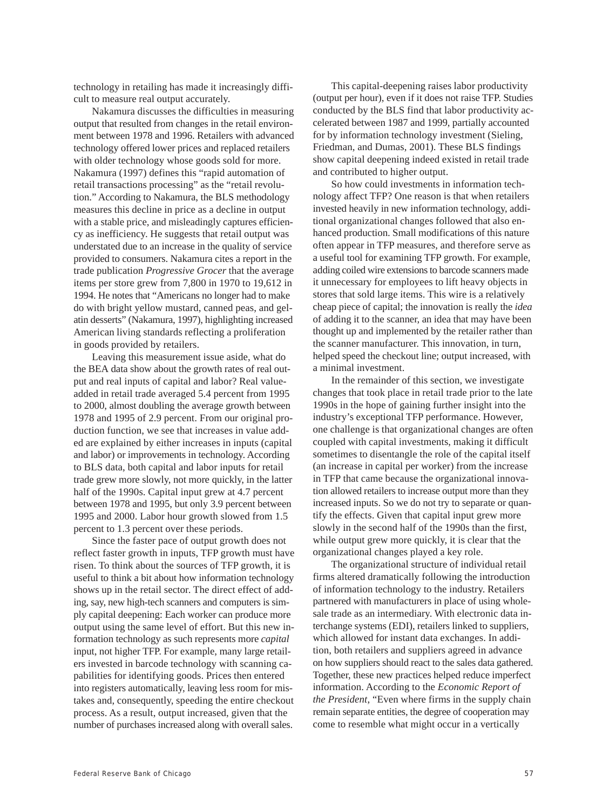technology in retailing has made it increasingly difficult to measure real output accurately.

Nakamura discusses the difficulties in measuring output that resulted from changes in the retail environment between 1978 and 1996. Retailers with advanced technology offered lower prices and replaced retailers with older technology whose goods sold for more. Nakamura (1997) defines this "rapid automation of retail transactions processing" as the "retail revolution." According to Nakamura, the BLS methodology measures this decline in price as a decline in output with a stable price, and misleadingly captures efficiency as inefficiency. He suggests that retail output was understated due to an increase in the quality of service provided to consumers. Nakamura cites a report in the trade publication *Progressive Grocer* that the average items per store grew from 7,800 in 1970 to 19,612 in 1994. He notes that "Americans no longer had to make do with bright yellow mustard, canned peas, and gelatin desserts" (Nakamura, 1997), highlighting increased American living standards reflecting a proliferation in goods provided by retailers.

Leaving this measurement issue aside, what do the BEA data show about the growth rates of real output and real inputs of capital and labor? Real valueadded in retail trade averaged 5.4 percent from 1995 to 2000, almost doubling the average growth between 1978 and 1995 of 2.9 percent. From our original production function, we see that increases in value added are explained by either increases in inputs (capital and labor) or improvements in technology. According to BLS data, both capital and labor inputs for retail trade grew more slowly, not more quickly, in the latter half of the 1990s. Capital input grew at 4.7 percent between 1978 and 1995, but only 3.9 percent between 1995 and 2000. Labor hour growth slowed from 1.5 percent to 1.3 percent over these periods.

Since the faster pace of output growth does not reflect faster growth in inputs, TFP growth must have risen. To think about the sources of TFP growth, it is useful to think a bit about how information technology shows up in the retail sector. The direct effect of adding, say, new high-tech scanners and computers is simply capital deepening: Each worker can produce more output using the same level of effort. But this new information technology as such represents more *capital* input, not higher TFP. For example, many large retailers invested in barcode technology with scanning capabilities for identifying goods. Prices then entered into registers automatically, leaving less room for mistakes and, consequently, speeding the entire checkout process. As a result, output increased, given that the number of purchases increased along with overall sales.

This capital-deepening raises labor productivity (output per hour), even if it does not raise TFP. Studies conducted by the BLS find that labor productivity accelerated between 1987 and 1999, partially accounted for by information technology investment (Sieling, Friedman, and Dumas, 2001). These BLS findings show capital deepening indeed existed in retail trade and contributed to higher output.

So how could investments in information technology affect TFP? One reason is that when retailers invested heavily in new information technology, additional organizational changes followed that also enhanced production. Small modifications of this nature often appear in TFP measures, and therefore serve as a useful tool for examining TFP growth. For example, adding coiled wire extensions to barcode scanners made it unnecessary for employees to lift heavy objects in stores that sold large items. This wire is a relatively cheap piece of capital; the innovation is really the *idea* of adding it to the scanner, an idea that may have been thought up and implemented by the retailer rather than the scanner manufacturer. This innovation, in turn, helped speed the checkout line; output increased, with a minimal investment.

In the remainder of this section, we investigate changes that took place in retail trade prior to the late 1990s in the hope of gaining further insight into the industry's exceptional TFP performance. However, one challenge is that organizational changes are often coupled with capital investments, making it difficult sometimes to disentangle the role of the capital itself (an increase in capital per worker) from the increase in TFP that came because the organizational innovation allowed retailers to increase output more than they increased inputs. So we do not try to separate or quantify the effects. Given that capital input grew more slowly in the second half of the 1990s than the first, while output grew more quickly, it is clear that the organizational changes played a key role.

The organizational structure of individual retail firms altered dramatically following the introduction of information technology to the industry. Retailers partnered with manufacturers in place of using wholesale trade as an intermediary. With electronic data interchange systems (EDI), retailers linked to suppliers, which allowed for instant data exchanges. In addition, both retailers and suppliers agreed in advance on how suppliers should react to the sales data gathered. Together, these new practices helped reduce imperfect information. According to the *Economic Report of the President*, "Even where firms in the supply chain remain separate entities, the degree of cooperation may come to resemble what might occur in a vertically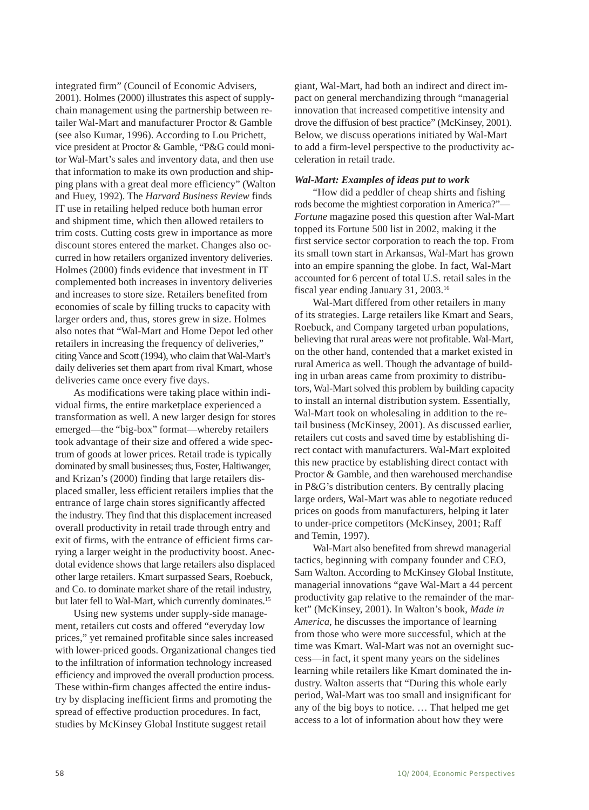integrated firm" (Council of Economic Advisers, 2001). Holmes (2000) illustrates this aspect of supplychain management using the partnership between retailer Wal-Mart and manufacturer Proctor & Gamble (see also Kumar, 1996). According to Lou Prichett, vice president at Proctor & Gamble, "P&G could monitor Wal-Mart's sales and inventory data, and then use that information to make its own production and shipping plans with a great deal more efficiency" (Walton and Huey, 1992). The *Harvard Business Review* finds IT use in retailing helped reduce both human error and shipment time, which then allowed retailers to trim costs. Cutting costs grew in importance as more discount stores entered the market. Changes also occurred in how retailers organized inventory deliveries. Holmes (2000) finds evidence that investment in IT complemented both increases in inventory deliveries and increases to store size. Retailers benefited from economies of scale by filling trucks to capacity with larger orders and, thus, stores grew in size. Holmes also notes that "Wal-Mart and Home Depot led other retailers in increasing the frequency of deliveries," citing Vance and Scott (1994), who claim that Wal-Mart's daily deliveries set them apart from rival Kmart, whose deliveries came once every five days.

As modifications were taking place within individual firms, the entire marketplace experienced a transformation as well. A new larger design for stores emerged—the "big-box" format—whereby retailers took advantage of their size and offered a wide spectrum of goods at lower prices. Retail trade is typically dominated by small businesses; thus, Foster, Haltiwanger, and Krizan's (2000) finding that large retailers displaced smaller, less efficient retailers implies that the entrance of large chain stores significantly affected the industry. They find that this displacement increased overall productivity in retail trade through entry and exit of firms, with the entrance of efficient firms carrying a larger weight in the productivity boost. Anecdotal evidence shows that large retailers also displaced other large retailers. Kmart surpassed Sears, Roebuck, and Co. to dominate market share of the retail industry, but later fell to Wal-Mart, which currently dominates.<sup>15</sup>

Using new systems under supply-side management, retailers cut costs and offered "everyday low prices," yet remained profitable since sales increased with lower-priced goods. Organizational changes tied to the infiltration of information technology increased efficiency and improved the overall production process. These within-firm changes affected the entire industry by displacing inefficient firms and promoting the spread of effective production procedures. In fact, studies by McKinsey Global Institute suggest retail

giant, Wal-Mart, had both an indirect and direct impact on general merchandizing through "managerial innovation that increased competitive intensity and drove the diffusion of best practice" (McKinsey, 2001). Below, we discuss operations initiated by Wal-Mart to add a firm-level perspective to the productivity acceleration in retail trade.

## *Wal-Mart: Examples of ideas put to work*

"How did a peddler of cheap shirts and fishing rods become the mightiest corporation in America?"-*Fortune* magazine posed this question after Wal-Mart topped its Fortune 500 list in 2002, making it the first service sector corporation to reach the top. From its small town start in Arkansas, Wal-Mart has grown into an empire spanning the globe. In fact, Wal-Mart accounted for 6 percent of total U.S. retail sales in the fiscal year ending January 31, 2003.16

Wal-Mart differed from other retailers in many of its strategies. Large retailers like Kmart and Sears, Roebuck, and Company targeted urban populations, believing that rural areas were not profitable. Wal-Mart, on the other hand, contended that a market existed in rural America as well. Though the advantage of building in urban areas came from proximity to distributors, Wal-Mart solved this problem by building capacity to install an internal distribution system. Essentially, Wal-Mart took on wholesaling in addition to the retail business (McKinsey, 2001). As discussed earlier, retailers cut costs and saved time by establishing direct contact with manufacturers. Wal-Mart exploited this new practice by establishing direct contact with Proctor & Gamble, and then warehoused merchandise in P&G's distribution centers. By centrally placing large orders, Wal-Mart was able to negotiate reduced prices on goods from manufacturers, helping it later to under-price competitors (McKinsey, 2001; Raff and Temin, 1997).

Wal-Mart also benefited from shrewd managerial tactics, beginning with company founder and CEO, Sam Walton. According to McKinsey Global Institute, managerial innovations "gave Wal-Mart a 44 percent productivity gap relative to the remainder of the market" (McKinsey, 2001). In Walton's book, *Made in America*, he discusses the importance of learning from those who were more successful, which at the time was Kmart. Wal-Mart was not an overnight success—in fact, it spent many years on the sidelines learning while retailers like Kmart dominated the industry. Walton asserts that "During this whole early period, Wal-Mart was too small and insignificant for any of the big boys to notice. … That helped me get access to a lot of information about how they were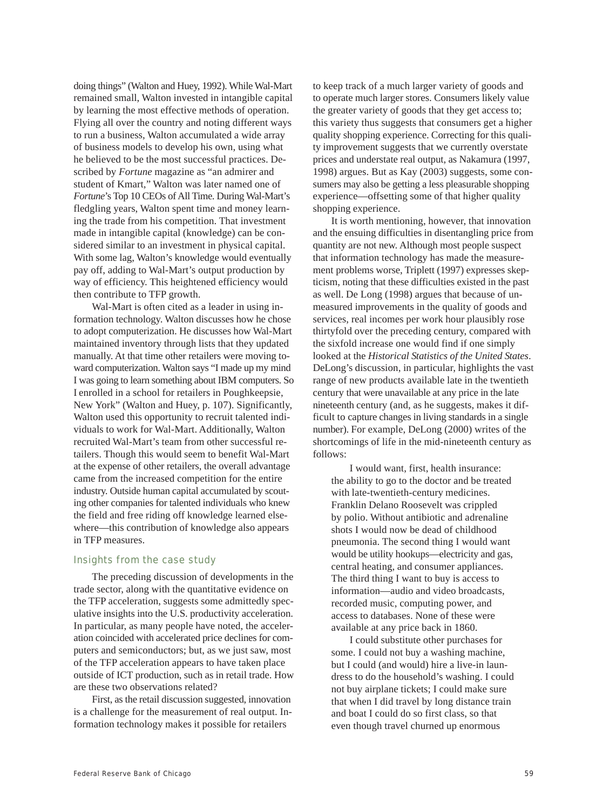doing things" (Walton and Huey, 1992). While Wal-Mart remained small, Walton invested in intangible capital by learning the most effective methods of operation. Flying all over the country and noting different ways to run a business, Walton accumulated a wide array of business models to develop his own, using what he believed to be the most successful practices. Described by *Fortune* magazine as "an admirer and student of Kmart," Walton was later named one of *Fortune*'s Top 10 CEOs of All Time. During Wal-Mart's fledgling years, Walton spent time and money learning the trade from his competition. That investment made in intangible capital (knowledge) can be considered similar to an investment in physical capital. With some lag, Walton's knowledge would eventually pay off, adding to Wal-Mart's output production by way of efficiency. This heightened efficiency would then contribute to TFP growth.

Wal-Mart is often cited as a leader in using information technology. Walton discusses how he chose to adopt computerization. He discusses how Wal-Mart maintained inventory through lists that they updated manually. At that time other retailers were moving toward computerization. Walton says "I made up my mind I was going to learn something about IBM computers. So I enrolled in a school for retailers in Poughkeepsie, New York" (Walton and Huey, p. 107). Significantly, Walton used this opportunity to recruit talented individuals to work for Wal-Mart. Additionally, Walton recruited Wal-Mart's team from other successful retailers. Though this would seem to benefit Wal-Mart at the expense of other retailers, the overall advantage came from the increased competition for the entire industry. Outside human capital accumulated by scouting other companies for talented individuals who knew the field and free riding off knowledge learned elsewhere—this contribution of knowledge also appears in TFP measures.

# Insights from the case study

The preceding discussion of developments in the trade sector, along with the quantitative evidence on the TFP acceleration, suggests some admittedly speculative insights into the U.S. productivity acceleration. In particular, as many people have noted, the acceleration coincided with accelerated price declines for computers and semiconductors; but, as we just saw, most of the TFP acceleration appears to have taken place outside of ICT production, such as in retail trade. How are these two observations related?

First, as the retail discussion suggested, innovation is a challenge for the measurement of real output. Information technology makes it possible for retailers

to keep track of a much larger variety of goods and to operate much larger stores. Consumers likely value the greater variety of goods that they get access to; this variety thus suggests that consumers get a higher quality shopping experience. Correcting for this quality improvement suggests that we currently overstate prices and understate real output, as Nakamura (1997, 1998) argues. But as Kay (2003) suggests, some consumers may also be getting a less pleasurable shopping experience—offsetting some of that higher quality shopping experience.

It is worth mentioning, however, that innovation and the ensuing difficulties in disentangling price from quantity are not new. Although most people suspect that information technology has made the measurement problems worse, Triplett (1997) expresses skepticism, noting that these difficulties existed in the past as well. De Long (1998) argues that because of unmeasured improvements in the quality of goods and services, real incomes per work hour plausibly rose thirtyfold over the preceding century, compared with the sixfold increase one would find if one simply looked at the *Historical Statistics of the United States*. DeLong's discussion, in particular, highlights the vast range of new products available late in the twentieth century that were unavailable at any price in the late nineteenth century (and, as he suggests, makes it difficult to capture changes in living standards in a single number). For example, DeLong (2000) writes of the shortcomings of life in the mid-nineteenth century as follows:

I would want, first, health insurance: the ability to go to the doctor and be treated with late-twentieth-century medicines. Franklin Delano Roosevelt was crippled by polio. Without antibiotic and adrenaline shots I would now be dead of childhood pneumonia. The second thing I would want would be utility hookups—electricity and gas, central heating, and consumer appliances. The third thing I want to buy is access to information—audio and video broadcasts, recorded music, computing power, and access to databases. None of these were available at any price back in 1860.

I could substitute other purchases for some. I could not buy a washing machine, but I could (and would) hire a live-in laundress to do the household's washing. I could not buy airplane tickets; I could make sure that when I did travel by long distance train and boat I could do so first class, so that even though travel churned up enormous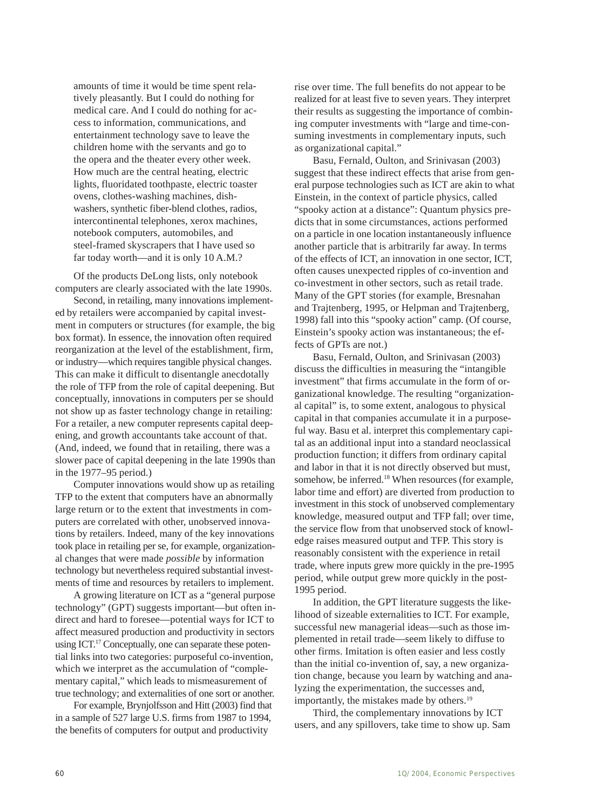amounts of time it would be time spent relatively pleasantly. But I could do nothing for medical care. And I could do nothing for access to information, communications, and entertainment technology save to leave the children home with the servants and go to the opera and the theater every other week. How much are the central heating, electric lights, fluoridated toothpaste, electric toaster ovens, clothes-washing machines, dishwashers, synthetic fiber-blend clothes, radios, intercontinental telephones, xerox machines, notebook computers, automobiles, and steel-framed skyscrapers that I have used so far today worth—and it is only 10 A.M.?

Of the products DeLong lists, only notebook computers are clearly associated with the late 1990s.

Second, in retailing, many innovations implemented by retailers were accompanied by capital investment in computers or structures (for example, the big box format). In essence, the innovation often required reorganization at the level of the establishment, firm, or industry—which requires tangible physical changes. This can make it difficult to disentangle anecdotally the role of TFP from the role of capital deepening. But conceptually, innovations in computers per se should not show up as faster technology change in retailing: For a retailer, a new computer represents capital deepening, and growth accountants take account of that. (And, indeed, we found that in retailing, there was a slower pace of capital deepening in the late 1990s than in the 1977–95 period.)

Computer innovations would show up as retailing TFP to the extent that computers have an abnormally large return or to the extent that investments in computers are correlated with other, unobserved innovations by retailers. Indeed, many of the key innovations took place in retailing per se, for example, organizational changes that were made *possible* by information technology but nevertheless required substantial investments of time and resources by retailers to implement.

A growing literature on ICT as a "general purpose technology" (GPT) suggests important—but often indirect and hard to foresee—potential ways for ICT to affect measured production and productivity in sectors using ICT.<sup>17</sup> Conceptually, one can separate these potential links into two categories: purposeful co-invention, which we interpret as the accumulation of "complementary capital," which leads to mismeasurement of true technology; and externalities of one sort or another.

For example, Brynjolfsson and Hitt (2003) find that in a sample of 527 large U.S. firms from 1987 to 1994, the benefits of computers for output and productivity

rise over time. The full benefits do not appear to be realized for at least five to seven years. They interpret their results as suggesting the importance of combining computer investments with "large and time-consuming investments in complementary inputs, such as organizational capital."

Basu, Fernald, Oulton, and Srinivasan (2003) suggest that these indirect effects that arise from general purpose technologies such as ICT are akin to what Einstein, in the context of particle physics, called "spooky action at a distance": Quantum physics predicts that in some circumstances, actions performed on a particle in one location instantaneously influence another particle that is arbitrarily far away. In terms of the effects of ICT, an innovation in one sector, ICT, often causes unexpected ripples of co-invention and co-investment in other sectors, such as retail trade. Many of the GPT stories (for example, Bresnahan and Trajtenberg, 1995, or Helpman and Trajtenberg, 1998) fall into this "spooky action" camp. (Of course, Einstein's spooky action was instantaneous; the effects of GPTs are not.)

Basu, Fernald, Oulton, and Srinivasan (2003) discuss the difficulties in measuring the "intangible investment" that firms accumulate in the form of organizational knowledge. The resulting "organizational capital" is, to some extent, analogous to physical capital in that companies accumulate it in a purposeful way. Basu et al. interpret this complementary capital as an additional input into a standard neoclassical production function; it differs from ordinary capital and labor in that it is not directly observed but must, somehow, be inferred.<sup>18</sup> When resources (for example, labor time and effort) are diverted from production to investment in this stock of unobserved complementary knowledge, measured output and TFP fall; over time, the service flow from that unobserved stock of knowledge raises measured output and TFP. This story is reasonably consistent with the experience in retail trade, where inputs grew more quickly in the pre-1995 period, while output grew more quickly in the post-1995 period.

In addition, the GPT literature suggests the likelihood of sizeable externalities to ICT. For example, successful new managerial ideas—such as those implemented in retail trade—seem likely to diffuse to other firms. Imitation is often easier and less costly than the initial co-invention of, say, a new organization change, because you learn by watching and analyzing the experimentation, the successes and, importantly, the mistakes made by others.<sup>19</sup>

Third, the complementary innovations by ICT users, and any spillovers, take time to show up. Sam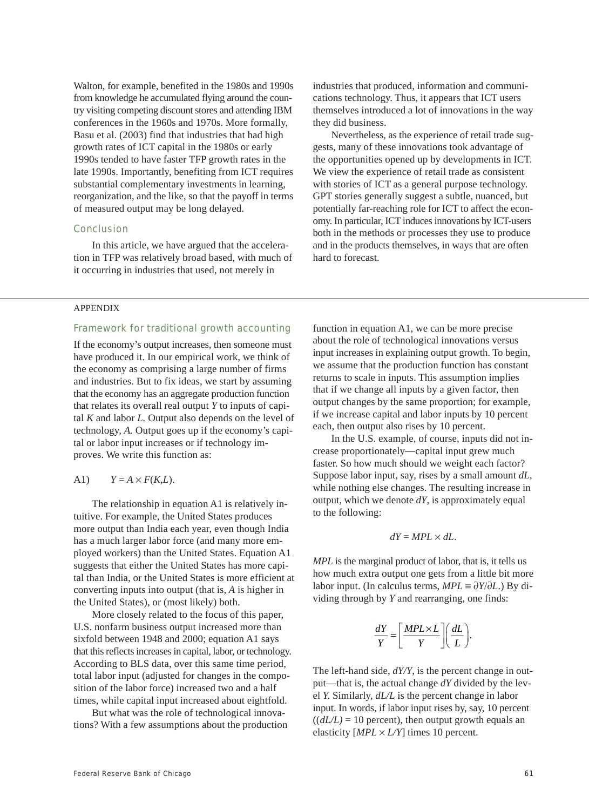Walton, for example, benefited in the 1980s and 1990s from knowledge he accumulated flying around the country visiting competing discount stores and attending IBM conferences in the 1960s and 1970s. More formally, Basu et al. (2003) find that industries that had high growth rates of ICT capital in the 1980s or early 1990s tended to have faster TFP growth rates in the late 1990s. Importantly, benefiting from ICT requires substantial complementary investments in learning, reorganization, and the like, so that the payoff in terms of measured output may be long delayed.

#### Conclusion

In this article, we have argued that the acceleration in TFP was relatively broad based, with much of it occurring in industries that used, not merely in

industries that produced, information and communications technology. Thus, it appears that ICT users themselves introduced a lot of innovations in the way they did business.

Nevertheless, as the experience of retail trade suggests, many of these innovations took advantage of the opportunities opened up by developments in ICT. We view the experience of retail trade as consistent with stories of ICT as a general purpose technology. GPT stories generally suggest a subtle, nuanced, but potentially far-reaching role for ICT to affect the economy. In particular, ICT induces innovations by ICT-users both in the methods or processes they use to produce and in the products themselves, in ways that are often hard to forecast.

## APPENDIX

# Framework for traditional growth accounting

If the economy's output increases, then someone must have produced it. In our empirical work, we think of the economy as comprising a large number of firms and industries. But to fix ideas, we start by assuming that the economy has an aggregate production function that relates its overall real output *Y* to inputs of capital *K* and labor *L.* Output also depends on the level of technology, *A.* Output goes up if the economy's capital or labor input increases or if technology improves. We write this function as:

#### A1)  $Y = A \times F(K,L)$ .

The relationship in equation A1 is relatively intuitive. For example, the United States produces more output than India each year, even though India has a much larger labor force (and many more employed workers) than the United States. Equation A1 suggests that either the United States has more capital than India, or the United States is more efficient at converting inputs into output (that is, *A* is higher in the United States), or (most likely) both.

More closely related to the focus of this paper, U.S. nonfarm business output increased more than sixfold between 1948 and 2000; equation A1 says that this reflects increases in capital, labor, or technology. According to BLS data, over this same time period, total labor input (adjusted for changes in the composition of the labor force) increased two and a half times, while capital input increased about eightfold.

But what was the role of technological innovations? With a few assumptions about the production function in equation A1, we can be more precise about the role of technological innovations versus input increases in explaining output growth. To begin, we assume that the production function has constant returns to scale in inputs. This assumption implies that if we change all inputs by a given factor, then output changes by the same proportion; for example, if we increase capital and labor inputs by 10 percent each, then output also rises by 10 percent.

In the U.S. example, of course, inputs did not increase proportionately—capital input grew much faster. So how much should we weight each factor? Suppose labor input, say, rises by a small amount *dL*, while nothing else changes. The resulting increase in output, which we denote *dY*, is approximately equal to the following:

$$
dY = MPL \times dL.
$$

*MPL* is the marginal product of labor, that is, it tells us how much extra output one gets from a little bit more labor input. (In calculus terms,  $MPL \equiv \partial Y / \partial L$ .) By dividing through by *Y* and rearranging, one finds:

$$
\frac{dY}{Y} = \left[\frac{MPI \times L}{Y}\right] \left(\frac{dL}{L}\right).
$$

The left-hand side, *dY/Y*, is the percent change in output—that is, the actual change *dY* divided by the level *Y.* Similarly, *dL/L* is the percent change in labor input. In words, if labor input rises by, say, 10 percent  $((dL/L) = 10$  percent), then output growth equals an elasticity [*MPL* × *L/Y*] times 10 percent.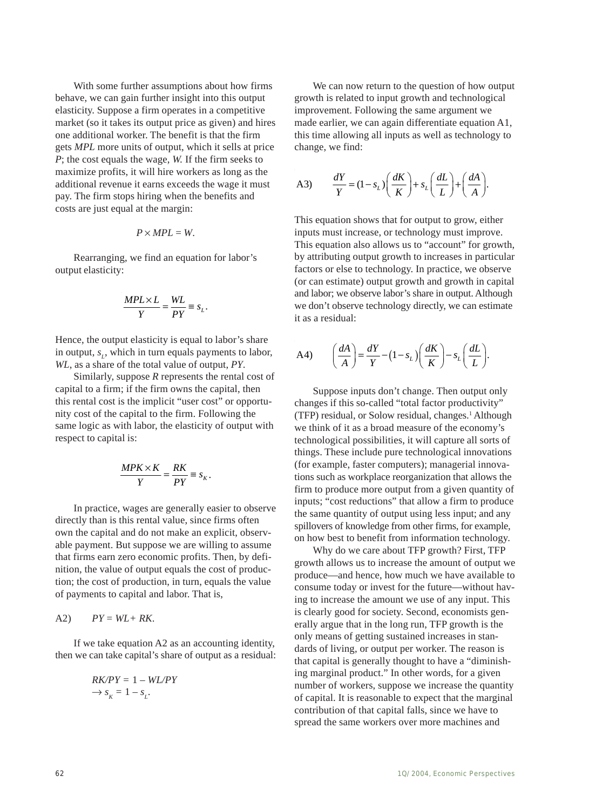With some further assumptions about how firms behave, we can gain further insight into this output elasticity. Suppose a firm operates in a competitive market (so it takes its output price as given) and hires one additional worker. The benefit is that the firm gets *MPL* more units of output, which it sells at price *P*; the cost equals the wage, *W.* If the firm seeks to maximize profits, it will hire workers as long as the additional revenue it earns exceeds the wage it must pay. The firm stops hiring when the benefits and costs are just equal at the margin:

$$
P \times MPL = W.
$$

Rearranging, we find an equation for labor's output elasticity:

$$
\frac{MPL \times L}{Y} = \frac{WL}{PY} \equiv s_L.
$$

Hence, the output elasticity is equal to labor's share in output,  $s_L$ , which in turn equals payments to labor, *WL*, as a share of the total value of output, *PY*.

Similarly, suppose *R* represents the rental cost of capital to a firm; if the firm owns the capital, then this rental cost is the implicit "user cost" or opportunity cost of the capital to the firm. Following the same logic as with labor, the elasticity of output with respect to capital is:

$$
\frac{MPK \times K}{Y} = \frac{RK}{PY} \equiv s_K.
$$

In practice, wages are generally easier to observe directly than is this rental value, since firms often own the capital and do not make an explicit, observable payment. But suppose we are willing to assume that firms earn zero economic profits. Then, by definition, the value of output equals the cost of production; the cost of production, in turn, equals the value of payments to capital and labor. That is,

$$
A2) \qquad PY = WL + RK.
$$

If we take equation A2 as an accounting identity, then we can take capital's share of output as a residual:

$$
RK/PY = 1 - WL/PY
$$

$$
\rightarrow s_K = 1 - s_L.
$$

We can now return to the question of how output growth is related to input growth and technological improvement. Following the same argument we made earlier, we can again differentiate equation A1, this time allowing all inputs as well as technology to change, we find:

A3) 
$$
\frac{dY}{Y} = (1 - s_L) \left( \frac{dK}{K} \right) + s_L \left( \frac{dL}{L} \right) + \left( \frac{dA}{A} \right).
$$

This equation shows that for output to grow, either inputs must increase, or technology must improve. This equation also allows us to "account" for growth, by attributing output growth to increases in particular factors or else to technology. In practice, we observe (or can estimate) output growth and growth in capital and labor; we observe labor's share in output. Although we don't observe technology directly, we can estimate it as a residual:

$$
A4) \qquad \left(\frac{dA}{A}\right) = \frac{dY}{Y} - \left(1 - s_L\right)\left(\frac{dK}{K}\right) - s_L\left(\frac{dL}{L}\right).
$$

Suppose inputs don't change. Then output only changes if this so-called "total factor productivity" (TFP) residual, or Solow residual, changes.<sup>1</sup> Although we think of it as a broad measure of the economy's technological possibilities, it will capture all sorts of things. These include pure technological innovations (for example, faster computers); managerial innovations such as workplace reorganization that allows the firm to produce more output from a given quantity of inputs; "cost reductions" that allow a firm to produce the same quantity of output using less input; and any spillovers of knowledge from other firms, for example, on how best to benefit from information technology.

Why do we care about TFP growth? First, TFP growth allows us to increase the amount of output we produce—and hence, how much we have available to consume today or invest for the future—without having to increase the amount we use of any input. This is clearly good for society. Second, economists generally argue that in the long run, TFP growth is the only means of getting sustained increases in standards of living, or output per worker. The reason is that capital is generally thought to have a "diminishing marginal product." In other words, for a given number of workers, suppose we increase the quantity of capital. It is reasonable to expect that the marginal contribution of that capital falls, since we have to spread the same workers over more machines and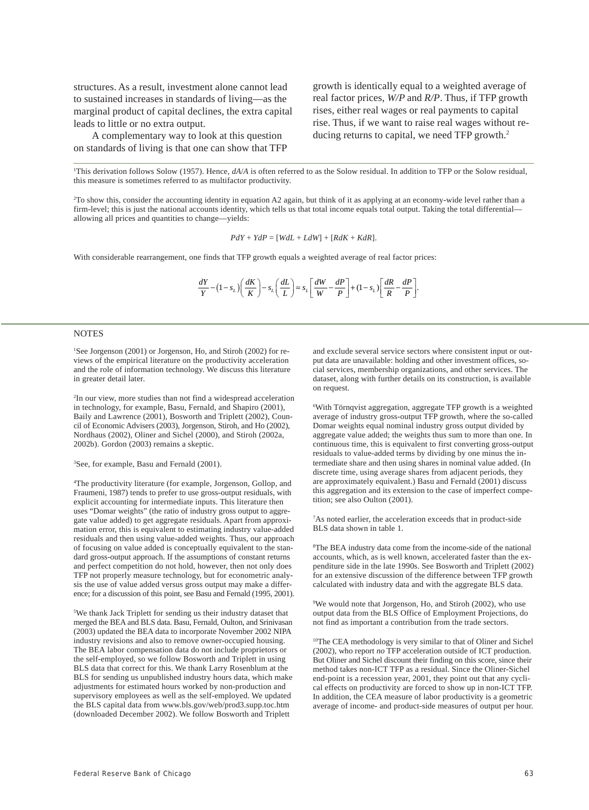structures. As a result, investment alone cannot lead to sustained increases in standards of living—as the marginal product of capital declines, the extra capital leads to little or no extra output.

A complementary way to look at this question on standards of living is that one can show that TFP

growth is identically equal to a weighted average of real factor prices, *W/P* and *R/P*. Thus, if TFP growth rises, either real wages or real payments to capital rise. Thus, if we want to raise real wages without reducing returns to capital, we need TFP growth.<sup>2</sup>

1 This derivation follows Solow (1957). Hence, *dA*/*A* is often referred to as the Solow residual. In addition to TFP or the Solow residual, this measure is sometimes referred to as multifactor productivity.

2 To show this, consider the accounting identity in equation A2 again, but think of it as applying at an economy-wide level rather than a firm-level; this is just the national accounts identity, which tells us that total income equals total output. Taking the total differential allowing all prices and quantities to change—yields:

$$
PdY + YdP = [WdL + LdW] + [RdK + KdR].
$$

With considerable rearrangement, one finds that TFP growth equals a weighted average of real factor prices:

$$
\frac{dY}{Y} - \left(1-s_L\right)\left(\frac{dK}{K}\right) - s_L\left(\frac{dL}{L}\right) = s_L\left[\frac{dW}{W} - \frac{dP}{P}\right] + \left(1-s_L\right)\left[\frac{dR}{R} - \frac{dP}{P}\right].
$$

#### **NOTES**

1 See Jorgenson (2001) or Jorgenson, Ho, and Stiroh (2002) for reviews of the empirical literature on the productivity acceleration and the role of information technology. We discuss this literature in greater detail later.

2 In our view, more studies than not find a widespread acceleration in technology, for example, Basu, Fernald, and Shapiro (2001), Baily and Lawrence (2001), Bosworth and Triplett (2002), Council of Economic Advisers (2003), Jorgenson, Stiroh, and Ho (2002), Nordhaus (2002), Oliner and Sichel (2000), and Stiroh (2002a, 2002b). Gordon (2003) remains a skeptic.

#### <sup>3</sup>See, for example, Basu and Fernald (2001).

4 The productivity literature (for example, Jorgenson, Gollop, and Fraumeni, 1987) tends to prefer to use gross-output residuals, with explicit accounting for intermediate inputs. This literature then uses "Domar weights" (the ratio of industry gross output to aggregate value added) to get aggregate residuals. Apart from approximation error, this is equivalent to estimating industry value-added residuals and then using value-added weights. Thus, our approach of focusing on value added is conceptually equivalent to the standard gross-output approach. If the assumptions of constant returns and perfect competition do not hold, however, then not only does TFP not properly measure technology, but for econometric analysis the use of value added versus gross output may make a difference; for a discussion of this point, see Basu and Fernald (1995, 2001).

5 We thank Jack Triplett for sending us their industry dataset that merged the BEA and BLS data. Basu, Fernald, Oulton, and Srinivasan (2003) updated the BEA data to incorporate November 2002 NIPA industry revisions and also to remove owner-occupied housing. The BEA labor compensation data do not include proprietors or the self-employed, so we follow Bosworth and Triplett in using BLS data that correct for this. We thank Larry Rosenblum at the BLS for sending us unpublished industry hours data, which make adjustments for estimated hours worked by non-production and supervisory employees as well as the self-employed. We updated the BLS capital data from www.bls.gov/web/prod3.supp.toc.htm (downloaded December 2002). We follow Bosworth and Triplett

and exclude several service sectors where consistent input or output data are unavailable: holding and other investment offices, social services, membership organizations, and other services. The dataset, along with further details on its construction, is available on request.

6 With Törnqvist aggregation, aggregate TFP growth is a weighted average of industry gross-output TFP growth, where the so-called Domar weights equal nominal industry gross output divided by aggregate value added; the weights thus sum to more than one. In continuous time, this is equivalent to first converting gross-output residuals to value-added terms by dividing by one minus the intermediate share and then using shares in nominal value added. (In discrete time, using average shares from adjacent periods, they are approximately equivalent.) Basu and Fernald (2001) discuss this aggregation and its extension to the case of imperfect competition; see also Oulton (2001).

7 As noted earlier, the acceleration exceeds that in product-side BLS data shown in table 1.

8 The BEA industry data come from the income-side of the national accounts, which, as is well known, accelerated faster than the expenditure side in the late 1990s. See Bosworth and Triplett (2002) for an extensive discussion of the difference between TFP growth calculated with industry data and with the aggregate BLS data.

<sup>9</sup>We would note that Jorgenson, Ho, and Stiroh (2002), who use output data from the BLS Office of Employment Projections, do not find as important a contribution from the trade sectors.

10The CEA methodology is very similar to that of Oliner and Sichel (2002), who report *no* TFP acceleration outside of ICT production. But Oliner and Sichel discount their finding on this score, since their method takes non-ICT TFP as a residual. Since the Oliner-Sichel end-point is a recession year, 2001, they point out that any cyclical effects on productivity are forced to show up in non-ICT TFP. In addition, the CEA measure of labor productivity is a geometric average of income- and product-side measures of output per hour.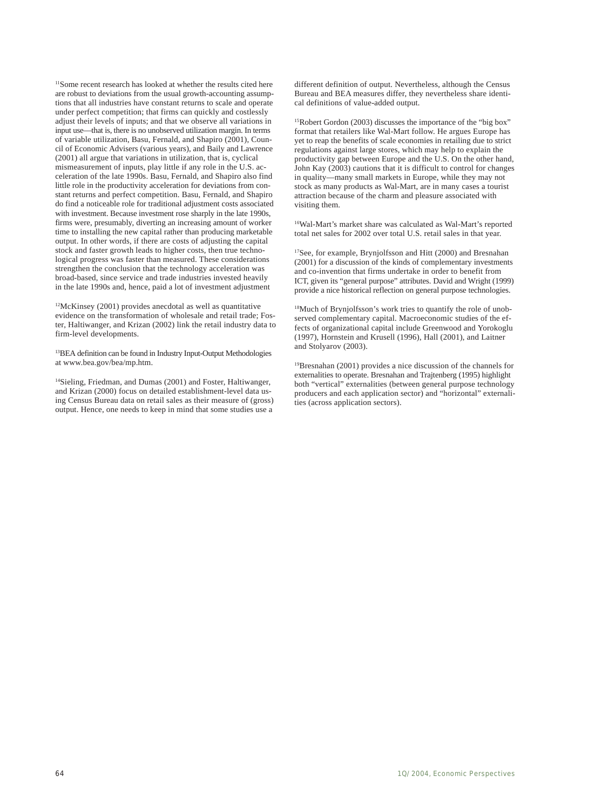11Some recent research has looked at whether the results cited here are robust to deviations from the usual growth-accounting assumptions that all industries have constant returns to scale and operate under perfect competition; that firms can quickly and costlessly adjust their levels of inputs; and that we observe all variations in input use—that is, there is no unobserved utilization margin. In terms of variable utilization, Basu, Fernald, and Shapiro (2001), Council of Economic Advisers (various years), and Baily and Lawrence (2001) all argue that variations in utilization, that is, cyclical mismeasurement of inputs, play little if any role in the U.S. acceleration of the late 1990s. Basu, Fernald, and Shapiro also find little role in the productivity acceleration for deviations from constant returns and perfect competition. Basu, Fernald, and Shapiro do find a noticeable role for traditional adjustment costs associated with investment. Because investment rose sharply in the late 1990s, firms were, presumably, diverting an increasing amount of worker time to installing the new capital rather than producing marketable output. In other words, if there are costs of adjusting the capital stock and faster growth leads to higher costs, then true technological progress was faster than measured. These considerations strengthen the conclusion that the technology acceleration was broad-based, since service and trade industries invested heavily in the late 1990s and, hence, paid a lot of investment adjustment

12McKinsey (2001) provides anecdotal as well as quantitative evidence on the transformation of wholesale and retail trade; Foster, Haltiwanger, and Krizan (2002) link the retail industry data to firm-level developments.

<sup>13</sup>BEA definition can be found in Industry Input-Output Methodologies at www.bea.gov/bea/mp.htm.

14Sieling, Friedman, and Dumas (2001) and Foster, Haltiwanger, and Krizan (2000) focus on detailed establishment-level data using Census Bureau data on retail sales as their measure of (gross) output. Hence, one needs to keep in mind that some studies use a

different definition of output. Nevertheless, although the Census Bureau and BEA measures differ, they nevertheless share identical definitions of value-added output.

15Robert Gordon (2003) discusses the importance of the "big box" format that retailers like Wal-Mart follow. He argues Europe has yet to reap the benefits of scale economies in retailing due to strict regulations against large stores, which may help to explain the productivity gap between Europe and the U.S. On the other hand, John Kay  $(2003)$  cautions that it is difficult to control for changes in quality—many small markets in Europe, while they may not stock as many products as Wal-Mart, are in many cases a tourist attraction because of the charm and pleasure associated with visiting them.

16Wal-Mart's market share was calculated as Wal-Mart's reported total net sales for 2002 over total U.S. retail sales in that year.

17See, for example, Brynjolfsson and Hitt (2000) and Bresnahan (2001) for a discussion of the kinds of complementary investments and co-invention that firms undertake in order to benefit from ICT, given its "general purpose" attributes. David and Wright (1999) provide a nice historical reflection on general purpose technologies.

18Much of Brynjolfsson's work tries to quantify the role of unobserved complementary capital. Macroeconomic studies of the effects of organizational capital include Greenwood and Yorokoglu (1997), Hornstein and Krusell (1996), Hall (2001), and Laitner and Stolyarov (2003).

19Bresnahan (2001) provides a nice discussion of the channels for externalities to operate. Bresnahan and Trajtenberg (1995) highlight both "vertical" externalities (between general purpose technology producers and each application sector) and "horizontal" externalities (across application sectors).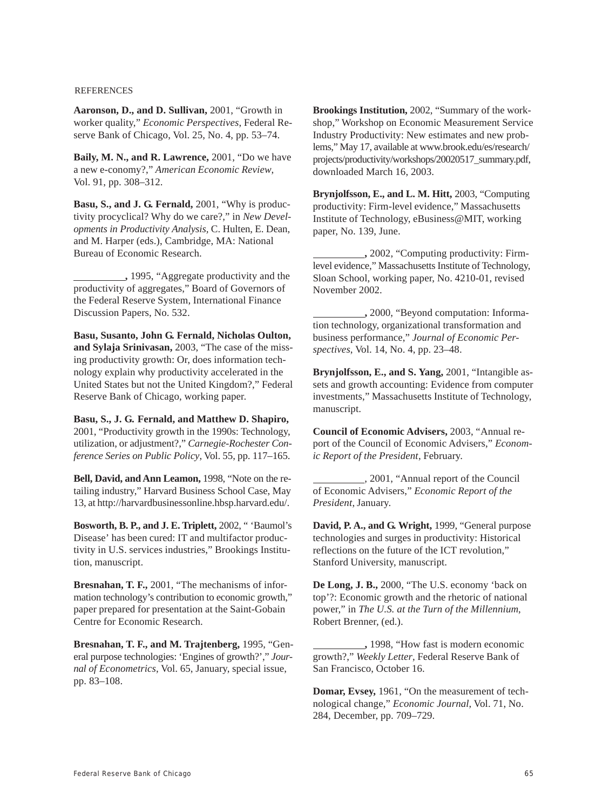## **REFERENCES**

**Aaronson, D., and D. Sullivan,** 2001, "Growth in worker quality," *Economic Perspectives*, Federal Reserve Bank of Chicago, Vol. 25, No. 4, pp. 53–74.

**Baily, M. N., and R. Lawrence,** 2001, "Do we have a new e-conomy?," *American Economic Review*, Vol. 91, pp. 308–312.

**Basu, S., and J. G. Fernald,** 2001, "Why is productivity procyclical? Why do we care?," in *New Developments in Productivity Analysis,* C. Hulten, E. Dean, and M. Harper (eds.), Cambridge, MA: National Bureau of Economic Research.

 **,** 1995, "Aggregate productivity and the productivity of aggregates," Board of Governors of the Federal Reserve System, International Finance Discussion Papers, No. 532.

**Basu, Susanto, John G. Fernald, Nicholas Oulton, and Sylaja Srinivasan,** 2003, "The case of the missing productivity growth: Or, does information technology explain why productivity accelerated in the United States but not the United Kingdom?," Federal Reserve Bank of Chicago, working paper.

**Basu, S., J. G. Fernald, and Matthew D. Shapiro,** 2001, "Productivity growth in the 1990s: Technology, utilization, or adjustment?," *Carnegie-Rochester Conference Series on Public Policy*, Vol. 55, pp. 117–165.

**Bell, David, and Ann Leamon,** 1998, "Note on the retailing industry," Harvard Business School Case, May 13, at http://harvardbusinessonline.hbsp.harvard.edu/.

**Bosworth, B. P., and J. E. Triplett,** 2002, " 'Baumol's Disease' has been cured: IT and multifactor productivity in U.S. services industries," Brookings Institution, manuscript.

**Bresnahan, T. F.,** 2001, "The mechanisms of information technology's contribution to economic growth," paper prepared for presentation at the Saint-Gobain Centre for Economic Research.

**Bresnahan, T. F., and M. Trajtenberg,** 1995, "General purpose technologies: 'Engines of growth?'," *Journal of Econometrics*, Vol. 65, January, special issue, pp. 83–108.

**Brookings Institution,** 2002, "Summary of the workshop," Workshop on Economic Measurement Service Industry Productivity: New estimates and new problems," May 17, available at www.brook.edu/es/research/ projects/productivity/workshops/20020517\_summary.pdf, downloaded March 16, 2003.

**Brynjolfsson, E., and L. M. Hitt,** 2003, "Computing productivity: Firm-level evidence," Massachusetts Institute of Technology, eBusiness@MIT, working paper, No. 139, June.

 **,** 2002, "Computing productivity: Firmlevel evidence," Massachusetts Institute of Technology, Sloan School, working paper, No. 4210-01, revised November 2002.

 **,** 2000, "Beyond computation: Information technology, organizational transformation and business performance," *Journal of Economic Perspectives*, Vol. 14, No. 4, pp. 23–48.

**Brynjolfsson, E., and S. Yang,** 2001, "Intangible assets and growth accounting: Evidence from computer investments," Massachusetts Institute of Technology, manuscript.

**Council of Economic Advisers,** 2003, "Annual report of the Council of Economic Advisers," *Economic Report of the President*, February.

, 2001, "Annual report of the Council of Economic Advisers," *Economic Report of the President*, January.

**David, P. A., and G. Wright,** 1999, "General purpose technologies and surges in productivity: Historical reflections on the future of the ICT revolution," Stanford University, manuscript.

**De Long, J. B.,** 2000, "The U.S. economy 'back on top'?: Economic growth and the rhetoric of national power," in *The U.S. at the Turn of the Millennium*, Robert Brenner, (ed.).

 **,** 1998, "How fast is modern economic growth?," *Weekly Letter*, Federal Reserve Bank of San Francisco, October 16.

**Domar, Evsey,** 1961, "On the measurement of technological change," *Economic Journal*, Vol. 71, No. 284, December, pp. 709–729.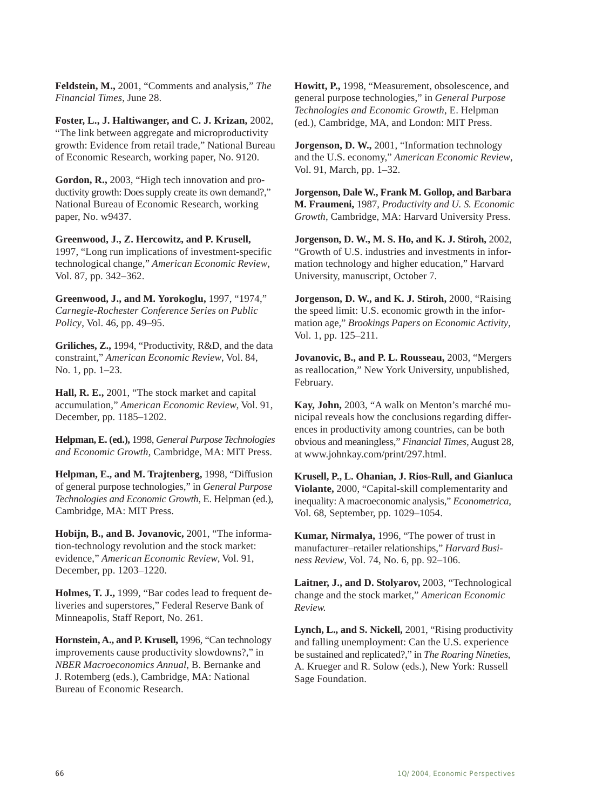**Feldstein, M.,** 2001, "Comments and analysis," *The Financial Times*, June 28.

**Foster, L., J. Haltiwanger, and C. J. Krizan,** 2002, "The link between aggregate and microproductivity growth: Evidence from retail trade," National Bureau of Economic Research, working paper, No. 9120.

**Gordon, R.,** 2003, "High tech innovation and productivity growth: Does supply create its own demand?," National Bureau of Economic Research, working paper, No. w9437.

**Greenwood, J., Z. Hercowitz, and P. Krusell,** 1997, "Long run implications of investment-specific technological change," *American Economic Review*, Vol. 87, pp. 342–362.

**Greenwood, J., and M. Yorokoglu,** 1997, "1974," *Carnegie-Rochester Conference Series on Public Policy*, Vol. 46, pp. 49–95.

**Griliches, Z.,** 1994, "Productivity, R&D, and the data constraint," *American Economic Review*, Vol. 84, No. 1, pp. 1–23.

**Hall, R. E.,** 2001, "The stock market and capital accumulation," *American Economic Review*, Vol. 91, December, pp. 1185–1202.

**Helpman, E. (ed.),** 1998, *General Purpose Technologies and Economic Growth*, Cambridge, MA: MIT Press.

**Helpman, E., and M. Trajtenberg,** 1998, "Diffusion of general purpose technologies," in *General Purpose Technologies and Economic Growth*, E. Helpman (ed.), Cambridge, MA: MIT Press.

**Hobijn, B., and B. Jovanovic,** 2001, "The information-technology revolution and the stock market: evidence," *American Economic Review*, Vol. 91, December, pp. 1203–1220.

**Holmes, T. J.,** 1999, "Bar codes lead to frequent deliveries and superstores," Federal Reserve Bank of Minneapolis, Staff Report, No. 261.

**Hornstein, A., and P. Krusell,** 1996, "Can technology improvements cause productivity slowdowns?," in *NBER Macroeconomics Annual*, B. Bernanke and J. Rotemberg (eds.), Cambridge, MA: National Bureau of Economic Research.

**Howitt, P.,** 1998, "Measurement, obsolescence, and general purpose technologies," in *General Purpose Technologies and Economic Growth*, E. Helpman (ed.), Cambridge, MA, and London: MIT Press.

**Jorgenson, D. W.,** 2001, "Information technology and the U.S. economy," *American Economic Review*, Vol. 91, March, pp. 1–32.

**Jorgenson, Dale W., Frank M. Gollop, and Barbara M. Fraumeni,** 1987, *Productivity and U. S. Economic Growth*, Cambridge, MA: Harvard University Press.

**Jorgenson, D. W., M. S. Ho, and K. J. Stiroh,** 2002, "Growth of U.S. industries and investments in information technology and higher education," Harvard University, manuscript, October 7.

**Jorgenson, D. W., and K. J. Stiroh,** 2000, "Raising the speed limit: U.S. economic growth in the information age," *Brookings Papers on Economic Activity*, Vol. 1, pp. 125–211.

**Jovanovic, B., and P. L. Rousseau,** 2003, "Mergers as reallocation," New York University, unpublished, February.

**Kay, John,** 2003, "A walk on Menton's marché municipal reveals how the conclusions regarding differences in productivity among countries, can be both obvious and meaningless," *Financial Times*, August 28, at www.johnkay.com/print/297.html.

**Krusell, P., L. Ohanian, J. Rios-Rull, and Gianluca Violante,** 2000, "Capital-skill complementarity and inequality: A macroeconomic analysis," *Econometrica*, Vol. 68, September, pp. 1029–1054.

**Kumar, Nirmalya,** 1996, "The power of trust in manufacturer–retailer relationships," *Harvard Business Review*, Vol. 74, No. 6, pp. 92–106.

**Laitner, J., and D. Stolyarov,** 2003, "Technological change and the stock market," *American Economic Review.*

**Lynch, L., and S. Nickell,** 2001, "Rising productivity and falling unemployment: Can the U.S. experience be sustained and replicated?," in *The Roaring Nineties*, A. Krueger and R. Solow (eds.), New York: Russell Sage Foundation.